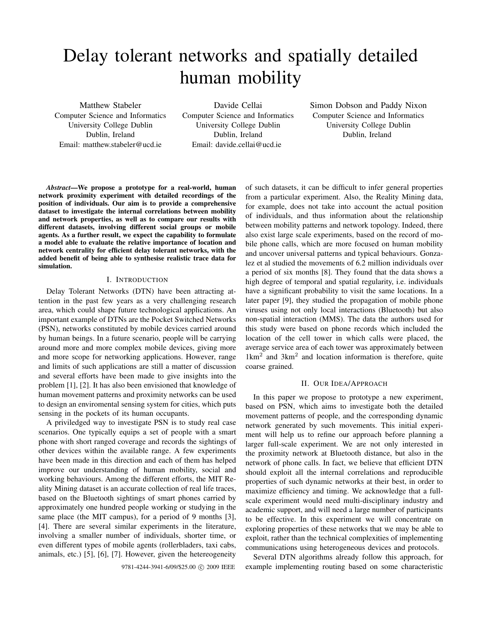# Delay tolerant networks and spatially detailed human mobility

Matthew Stabeler Computer Science and Informatics University College Dublin Dublin, Ireland Email: matthew.stabeler@ucd.ie

Davide Cellai Computer Science and Informatics University College Dublin Dublin, Ireland Email: davide.cellai@ucd.ie

Simon Dobson and Paddy Nixon Computer Science and Informatics University College Dublin Dublin, Ireland

*Abstract***—We propose a prototype for a real-world, human network proximity experiment with detailed recordings of the position of individuals. Our aim is to provide a comprehensive dataset to investigate the internal correlations between mobility and network properties, as well as to compare our results with different datasets, involving different social groups or mobile agents. As a further result, we expect the capability to formulate a model able to evaluate the relative importance of location and network centrality for efficient delay tolerant networks, with the added benefit of being able to synthesise realistic trace data for simulation.**

## I. INTRODUCTION

Delay Tolerant Networks (DTN) have been attracting attention in the past few years as a very challenging research area, which could shape future technological applications. An important example of DTNs are the Pocket Switched Networks (PSN), networks constituted by mobile devices carried around by human beings. In a future scenario, people will be carrying around more and more complex mobile devices, giving more and more scope for networking applications. However, range and limits of such applications are still a matter of discussion and several efforts have been made to give insights into the problem [1], [2]. It has also been envisioned that knowledge of human movement patterns and proximity networks can be used to design an enviromental sensing system for cities, which puts sensing in the pockets of its human occupants.

A priviledged way to investigate PSN is to study real case scenarios. One typically equips a set of people with a smart phone with short ranged coverage and records the sightings of other devices within the available range. A few experiments have been made in this direction and each of them has helped improve our understanding of human mobility, social and working behaviours. Among the different efforts, the MIT Reality Mining dataset is an accurate collection of real life traces, based on the Bluetooth sightings of smart phones carried by approximately one hundred people working or studying in the same place (the MIT campus), for a period of 9 months [3], [4]. There are several similar experiments in the literature, involving a smaller number of individuals, shorter time, or even different types of mobile agents (rollerbladers, taxi cabs, animals, etc.) [5], [6], [7]. However, given the hetereogeneity

9781-4244-3941-6/09/\$25.00 C 2009 IEEE

of such datasets, it can be difficult to infer general properties from a particular experiment. Also, the Reality Mining data, for example, does not take into account the actual position of individuals, and thus information about the relationship between mobility patterns and network topology. Indeed, there also exist large scale experiments, based on the record of mobile phone calls, which are more focused on human mobility and uncover universal patterns and typical behaviours. Gonzalez et al studied the movements of 6.2 million individuals over a period of six months [8]. They found that the data shows a high degree of temporal and spatial regularity, i.e. individuals have a significant probability to visit the same locations. In a later paper [9], they studied the propagation of mobile phone viruses using not only local interactions (Bluetooth) but also non-spatial interaction (MMS). The data the authors used for this study were based on phone records which included the location of the cell tower in which calls were placed, the average service area of each tower was approximately between  $1 \text{km}^2$  and  $3 \text{km}^2$  and location information is therefore, quite coarse grained.

#### II. OUR IDEA/APPROACH

In this paper we propose to prototype a new experiment, based on PSN, which aims to investigate both the detailed movement patterns of people, and the corresponding dynamic network generated by such movements. This initial experiment will help us to refine our approach before planning a larger full-scale experiment. We are not only interested in the proximity network at Bluetooth distance, but also in the network of phone calls. In fact, we believe that efficient DTN should exploit all the internal correlations and reproducible properties of such dynamic networks at their best, in order to maximize efficiency and timing. We acknowledge that a fullscale experiment would need multi-disciplinary industry and academic support, and will need a large number of participants to be effective. In this experiment we will concentrate on exploring properties of these networks that we may be able to exploit, rather than the technical complexities of implementing communications using heterogeneous devices and protocols.

Several DTN algorithms already follow this approach, for example implementing routing based on some characteristic